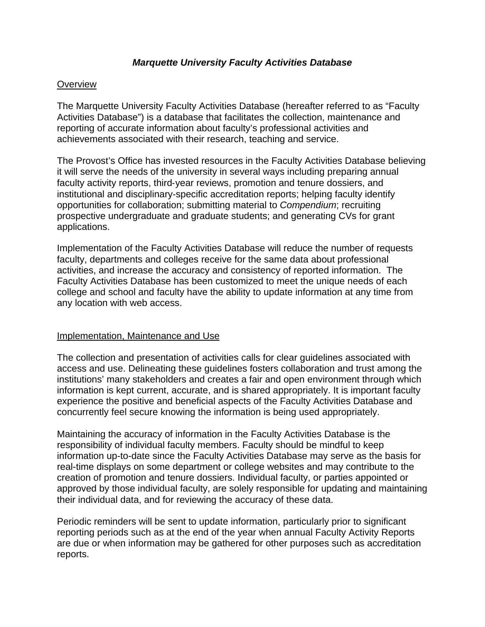## *Marquette University Faculty Activities Database*

## **Overview**

The Marquette University Faculty Activities Database (hereafter referred to as "Faculty Activities Database") is a database that facilitates the collection, maintenance and reporting of accurate information about faculty's professional activities and achievements associated with their research, teaching and service.

The Provost's Office has invested resources in the Faculty Activities Database believing it will serve the needs of the university in several ways including preparing annual faculty activity reports, third‐year reviews, promotion and tenure dossiers, and institutional and disciplinary‐specific accreditation reports; helping faculty identify opportunities for collaboration; submitting material to *Compendium*; recruiting prospective undergraduate and graduate students; and generating CVs for grant applications.

Implementation of the Faculty Activities Database will reduce the number of requests faculty, departments and colleges receive for the same data about professional activities, and increase the accuracy and consistency of reported information. The Faculty Activities Database has been customized to meet the unique needs of each college and school and faculty have the ability to update information at any time from any location with web access.

## Implementation, Maintenance and Use

The collection and presentation of activities calls for clear guidelines associated with access and use. Delineating these guidelines fosters collaboration and trust among the institutions' many stakeholders and creates a fair and open environment through which information is kept current, accurate, and is shared appropriately. It is important faculty experience the positive and beneficial aspects of the Faculty Activities Database and concurrently feel secure knowing the information is being used appropriately.

Maintaining the accuracy of information in the Faculty Activities Database is the responsibility of individual faculty members. Faculty should be mindful to keep information up-to-date since the Faculty Activities Database may serve as the basis for real-time displays on some department or college websites and may contribute to the creation of promotion and tenure dossiers. Individual faculty, or parties appointed or approved by those individual faculty, are solely responsible for updating and maintaining their individual data, and for reviewing the accuracy of these data.

Periodic reminders will be sent to update information, particularly prior to significant reporting periods such as at the end of the year when annual Faculty Activity Reports are due or when information may be gathered for other purposes such as accreditation reports.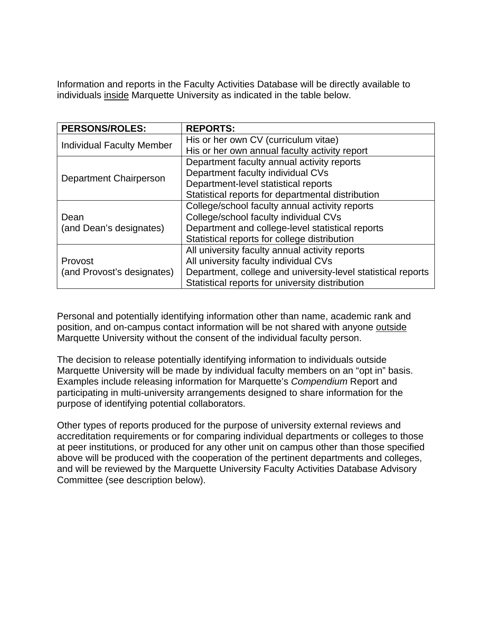Information and reports in the Faculty Activities Database will be directly available to individuals inside Marquette University as indicated in the table below.

| <b>PERSONS/ROLES:</b>                 | <b>REPORTS:</b>                                              |
|---------------------------------------|--------------------------------------------------------------|
| <b>Individual Faculty Member</b>      | His or her own CV (curriculum vitae)                         |
|                                       | His or her own annual faculty activity report                |
| <b>Department Chairperson</b>         | Department faculty annual activity reports                   |
|                                       | Department faculty individual CVs                            |
|                                       | Department-level statistical reports                         |
|                                       | Statistical reports for departmental distribution            |
| Dean<br>(and Dean's designates)       | College/school faculty annual activity reports               |
|                                       | College/school faculty individual CVs                        |
|                                       | Department and college-level statistical reports             |
|                                       | Statistical reports for college distribution                 |
| Provost<br>(and Provost's designates) | All university faculty annual activity reports               |
|                                       | All university faculty individual CVs                        |
|                                       | Department, college and university-level statistical reports |
|                                       | Statistical reports for university distribution              |

Personal and potentially identifying information other than name, academic rank and position, and on-campus contact information will be not shared with anyone outside Marquette University without the consent of the individual faculty person.

The decision to release potentially identifying information to individuals outside Marquette University will be made by individual faculty members on an "opt in" basis. Examples include releasing information for Marquette's *Compendium* Report and participating in multi-university arrangements designed to share information for the purpose of identifying potential collaborators.

Other types of reports produced for the purpose of university external reviews and accreditation requirements or for comparing individual departments or colleges to those at peer institutions, or produced for any other unit on campus other than those specified above will be produced with the cooperation of the pertinent departments and colleges, and will be reviewed by the Marquette University Faculty Activities Database Advisory Committee (see description below).